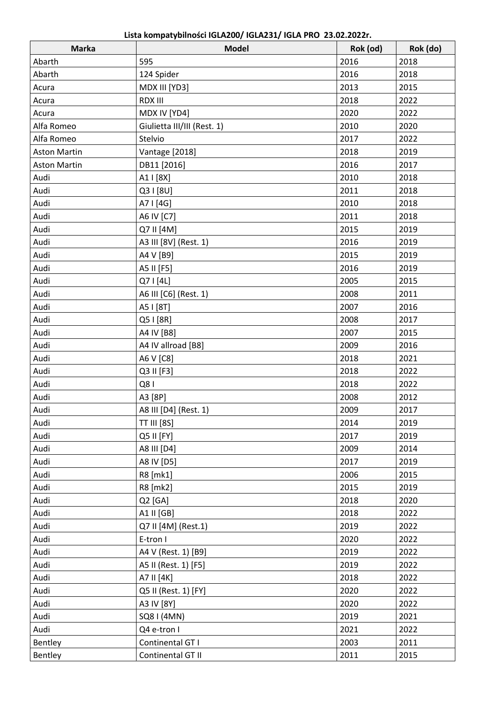| 2018<br>595<br>2016<br>Abarth<br>Abarth<br>124 Spider<br>2016<br>2018<br>2013<br>2015<br>MDX III [YD3]<br>Acura<br><b>RDX III</b><br>2018<br>2022<br>Acura<br>2020<br>2022<br>MDX IV [YD4]<br>Acura<br>2010<br>2020<br>Alfa Romeo<br>Giulietta III/III (Rest. 1) |  |
|------------------------------------------------------------------------------------------------------------------------------------------------------------------------------------------------------------------------------------------------------------------|--|
|                                                                                                                                                                                                                                                                  |  |
|                                                                                                                                                                                                                                                                  |  |
|                                                                                                                                                                                                                                                                  |  |
|                                                                                                                                                                                                                                                                  |  |
|                                                                                                                                                                                                                                                                  |  |
|                                                                                                                                                                                                                                                                  |  |
| Alfa Romeo<br>Stelvio<br>2017<br>2022                                                                                                                                                                                                                            |  |
| 2018<br>Vantage [2018]<br>2019<br><b>Aston Martin</b>                                                                                                                                                                                                            |  |
| <b>Aston Martin</b><br>DB11 [2016]<br>2016<br>2017                                                                                                                                                                                                               |  |
| Audi<br>A1   [8X]<br>2010<br>2018                                                                                                                                                                                                                                |  |
| Audi<br>2011<br>2018<br>Q3   [8U]                                                                                                                                                                                                                                |  |
| 2010<br>Audi<br>A7   [4G]<br>2018                                                                                                                                                                                                                                |  |
| 2011<br>Audi<br>A6 IV [C7]<br>2018                                                                                                                                                                                                                               |  |
| Audi<br>Q7 II [4M]<br>2015<br>2019                                                                                                                                                                                                                               |  |
| 2019<br>Audi<br>A3 III [8V] (Rest. 1)<br>2016                                                                                                                                                                                                                    |  |
| Audi<br>2015<br>2019<br>A4 V [B9]                                                                                                                                                                                                                                |  |
| Audi<br>2016<br>2019<br>A5 II [F5]                                                                                                                                                                                                                               |  |
| Audi<br>2005<br>2015<br>Q7   [4L]                                                                                                                                                                                                                                |  |
| Audi<br>A6 III [C6] (Rest. 1)<br>2008<br>2011                                                                                                                                                                                                                    |  |
| 2007<br>Audi<br>A5 I [8T]<br>2016                                                                                                                                                                                                                                |  |
| Audi<br>Q5   [8R]<br>2008<br>2017                                                                                                                                                                                                                                |  |
| Audi<br>2007<br>A4 IV [B8]<br>2015                                                                                                                                                                                                                               |  |
| 2009<br>2016<br>Audi<br>A4 IV allroad [B8]                                                                                                                                                                                                                       |  |
| Audi<br>2018<br>2021<br>A6 V [C8]                                                                                                                                                                                                                                |  |
| Audi<br>2018<br>2022<br>Q3 II [F3]                                                                                                                                                                                                                               |  |
| Q81<br>Audi<br>2018<br>2022                                                                                                                                                                                                                                      |  |
| Audi<br>A3 [8P]<br>2008<br>2012                                                                                                                                                                                                                                  |  |
| Audi<br>A8 III [D4] (Rest. 1)<br>2009<br>2017                                                                                                                                                                                                                    |  |
| 2014<br>Audi<br><b>TT III [8S]</b><br>2019                                                                                                                                                                                                                       |  |
| Q5 II [FY]<br>2017<br>2019<br>Audi                                                                                                                                                                                                                               |  |
| 2009<br>Audi<br>A8 III [D4]<br>2014                                                                                                                                                                                                                              |  |
| 2017<br>Audi<br>A8 IV [D5]<br>2019                                                                                                                                                                                                                               |  |
| Audi<br>2006<br>2015<br>R8 [mk1]                                                                                                                                                                                                                                 |  |
| R8 [mk2]<br>2015<br>2019<br>Audi                                                                                                                                                                                                                                 |  |
| 2018<br>2020<br>Audi<br>Q2 [GA]                                                                                                                                                                                                                                  |  |
| Audi<br>A1 II [GB]<br>2018<br>2022                                                                                                                                                                                                                               |  |
| 2019<br>Audi<br>Q7 II [4M] (Rest.1)<br>2022                                                                                                                                                                                                                      |  |
| Audi<br>E-tron I<br>2020<br>2022                                                                                                                                                                                                                                 |  |
| A4 V (Rest. 1) [B9]<br>2019<br>2022<br>Audi                                                                                                                                                                                                                      |  |
| 2019<br>2022<br>Audi<br>A5 II (Rest. 1) [F5]                                                                                                                                                                                                                     |  |
| Audi<br>A7 II [4K]<br>2018<br>2022                                                                                                                                                                                                                               |  |
| 2020<br>2022<br>Audi<br>Q5 II (Rest. 1) [FY]                                                                                                                                                                                                                     |  |
| A3 IV [8Y]<br>2020<br>Audi<br>2022                                                                                                                                                                                                                               |  |
| 2019<br>Audi<br>SQ8 I (4MN)<br>2021                                                                                                                                                                                                                              |  |
| 2021<br>Audi<br>Q4 e-tron I<br>2022                                                                                                                                                                                                                              |  |
| Continental GT I<br>2003<br>2011<br>Bentley                                                                                                                                                                                                                      |  |
| Continental GT II<br>2011<br>2015<br>Bentley                                                                                                                                                                                                                     |  |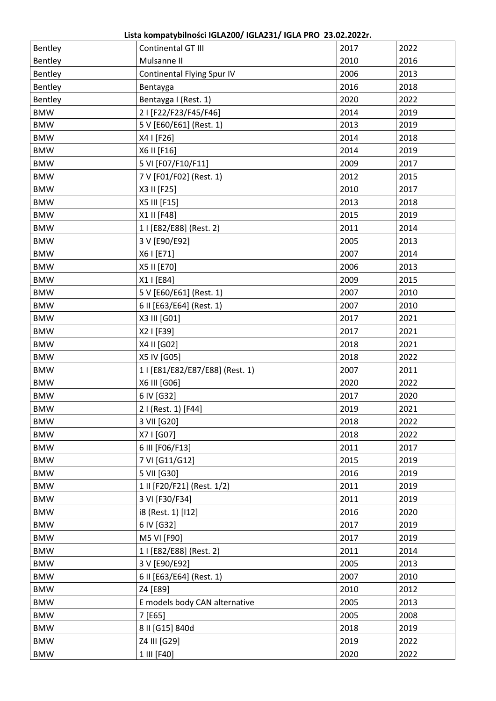**Lista kompatybilności IGLA200/ IGLA231/ IGLA PRO 23.02.2022r.**

| Bentley    | Continental GT III              | 2017 | 2022 |
|------------|---------------------------------|------|------|
| Bentley    | Mulsanne II                     | 2010 | 2016 |
| Bentley    | Continental Flying Spur IV      | 2006 | 2013 |
| Bentley    | Bentayga                        | 2016 | 2018 |
| Bentley    | Bentayga I (Rest. 1)            | 2020 | 2022 |
| <b>BMW</b> | 2   [F22/F23/F45/F46]           | 2014 | 2019 |
| <b>BMW</b> | 5 V [E60/E61] (Rest. 1)         | 2013 | 2019 |
| <b>BMW</b> | X4   [F26]                      | 2014 | 2018 |
| <b>BMW</b> | X6 II [F16]                     | 2014 | 2019 |
| <b>BMW</b> | 5 VI [F07/F10/F11]              | 2009 | 2017 |
| <b>BMW</b> | 7 V [F01/F02] (Rest. 1)         | 2012 | 2015 |
| <b>BMW</b> | X3 II [F25]                     | 2010 | 2017 |
| <b>BMW</b> | X5 III [F15]                    | 2013 | 2018 |
| <b>BMW</b> | X1 II [F48]                     | 2015 | 2019 |
| <b>BMW</b> | 1   [E82/E88] (Rest. 2)         | 2011 | 2014 |
| <b>BMW</b> | 3 V [E90/E92]                   | 2005 | 2013 |
| <b>BMW</b> | X6   [E71]                      | 2007 | 2014 |
| <b>BMW</b> | X5 II [E70]                     | 2006 | 2013 |
| <b>BMW</b> | X1   [E84]                      | 2009 | 2015 |
| <b>BMW</b> | 5 V [E60/E61] (Rest. 1)         | 2007 | 2010 |
| <b>BMW</b> | 6 II [E63/E64] (Rest. 1)        | 2007 | 2010 |
| <b>BMW</b> | X3 III [G01]                    | 2017 | 2021 |
| <b>BMW</b> | X2 I [F39]                      | 2017 | 2021 |
| <b>BMW</b> | X4 II [G02]                     | 2018 | 2021 |
| <b>BMW</b> | X5 IV [G05]                     | 2018 | 2022 |
| <b>BMW</b> | 1   [E81/E82/E87/E88] (Rest. 1) | 2007 | 2011 |
| <b>BMW</b> | X6 III [G06]                    | 2020 | 2022 |
| <b>BMW</b> | 6 IV [G32]                      | 2017 | 2020 |
| <b>BMW</b> | 2 I (Rest. 1) [F44]             | 2019 | 2021 |
| <b>BMW</b> | 3 VII [G20]                     | 2018 | 2022 |
| <b>BMW</b> | X7   [G07]                      | 2018 | 2022 |
| <b>BMW</b> | 6 III [F06/F13]                 | 2011 | 2017 |
| <b>BMW</b> | 7 VI [G11/G12]                  | 2015 | 2019 |
| <b>BMW</b> | 5 VII [G30]                     | 2016 | 2019 |
| <b>BMW</b> | 1 II [F20/F21] (Rest. 1/2)      | 2011 | 2019 |
| <b>BMW</b> | 3 VI [F30/F34]                  | 2011 | 2019 |
| <b>BMW</b> | i8 (Rest. 1) [112]              | 2016 | 2020 |
| <b>BMW</b> | 6 IV [G32]                      | 2017 | 2019 |
| <b>BMW</b> | M5 VI [F90]                     | 2017 | 2019 |
| <b>BMW</b> | 1   [E82/E88] (Rest. 2)         | 2011 | 2014 |
| <b>BMW</b> | 3 V [E90/E92]                   | 2005 | 2013 |
| <b>BMW</b> | 6 II [E63/E64] (Rest. 1)        | 2007 | 2010 |
| <b>BMW</b> | Z4 [E89]                        | 2010 | 2012 |
| <b>BMW</b> | E models body CAN alternative   | 2005 | 2013 |
| <b>BMW</b> | 7 [E65]                         | 2005 | 2008 |
| <b>BMW</b> | 8 II [G15] 840d                 | 2018 | 2019 |
| <b>BMW</b> | Z4 III [G29]                    | 2019 | 2022 |
| <b>BMW</b> | 1 III [F40]                     | 2020 | 2022 |
|            |                                 |      |      |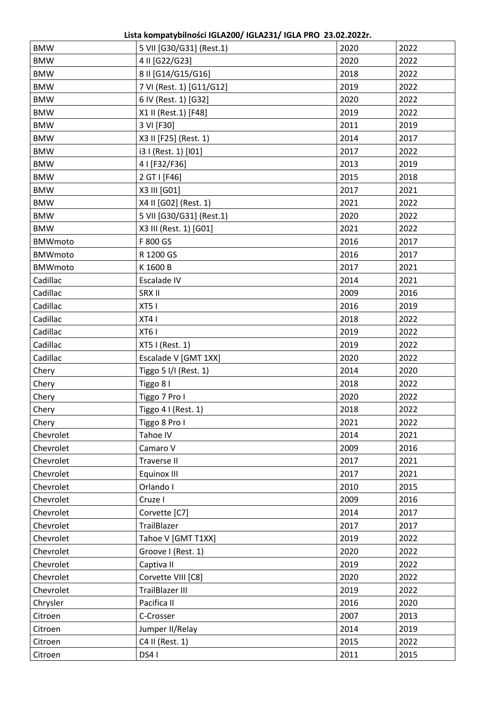| <b>BMW</b>     | 5 VII [G30/G31] (Rest.1) | 2020 | 2022 |
|----------------|--------------------------|------|------|
| <b>BMW</b>     | 4 II [G22/G23]           | 2020 | 2022 |
| <b>BMW</b>     | 8 II [G14/G15/G16]       | 2018 | 2022 |
| <b>BMW</b>     | 7 VI (Rest. 1) [G11/G12] | 2019 | 2022 |
| <b>BMW</b>     | 6 IV (Rest. 1) [G32]     | 2020 | 2022 |
| <b>BMW</b>     | X1 II (Rest.1) [F48]     | 2019 | 2022 |
| <b>BMW</b>     | 3 VI [F30]               | 2011 | 2019 |
| <b>BMW</b>     | X3 II [F25] (Rest. 1)    | 2014 | 2017 |
| <b>BMW</b>     | i3 I (Rest. 1) [I01]     | 2017 | 2022 |
| <b>BMW</b>     | 4   [F32/F36]            | 2013 | 2019 |
| <b>BMW</b>     | 2 GT I [F46]             | 2015 | 2018 |
| <b>BMW</b>     | X3 III [G01]             | 2017 | 2021 |
| <b>BMW</b>     | X4 II [G02] (Rest. 1)    | 2021 | 2022 |
| <b>BMW</b>     | 5 VII [G30/G31] (Rest.1) | 2020 | 2022 |
| <b>BMW</b>     | X3 III (Rest. 1) [G01]   | 2021 | 2022 |
| <b>BMWmoto</b> | F 800 GS                 | 2016 | 2017 |
| <b>BMWmoto</b> | R 1200 GS                | 2016 | 2017 |
| <b>BMWmoto</b> | K 1600 B                 | 2017 | 2021 |
| Cadillac       | Escalade IV              | 2014 | 2021 |
| Cadillac       | SRX II                   | 2009 | 2016 |
| Cadillac       | XT5 I                    | 2016 | 2019 |
| Cadillac       | XT41                     | 2018 | 2022 |
| Cadillac       | XT61                     | 2019 | 2022 |
| Cadillac       | XT5 I (Rest. 1)          | 2019 | 2022 |
| Cadillac       | Escalade V [GMT 1XX]     | 2020 | 2022 |
| Chery          | Tiggo 5 I/I (Rest. 1)    | 2014 | 2020 |
| Chery          | Tiggo 8 I                | 2018 | 2022 |
| Chery          | Tiggo 7 Pro I            | 2020 | 2022 |
| Chery          | Tiggo 4 I (Rest. 1)      | 2018 | 2022 |
| Chery          | Tiggo 8 Pro I            | 2021 | 2022 |
| Chevrolet      | Tahoe IV                 | 2014 | 2021 |
| Chevrolet      | Camaro V                 | 2009 | 2016 |
| Chevrolet      | Traverse II              | 2017 | 2021 |
| Chevrolet      | Equinox III              | 2017 | 2021 |
| Chevrolet      | Orlando I                | 2010 | 2015 |
| Chevrolet      | Cruze I                  | 2009 | 2016 |
| Chevrolet      | Corvette [C7]            | 2014 | 2017 |
| Chevrolet      | TrailBlazer              | 2017 | 2017 |
| Chevrolet      | Tahoe V [GMT T1XX]       | 2019 | 2022 |
| Chevrolet      | Groove I (Rest. 1)       | 2020 | 2022 |
| Chevrolet      | Captiva II               | 2019 | 2022 |
| Chevrolet      | Corvette VIII [C8]       | 2020 | 2022 |
| Chevrolet      | <b>TrailBlazer III</b>   | 2019 | 2022 |
| Chrysler       | Pacifica II              | 2016 | 2020 |
| Citroen        | C-Crosser                | 2007 | 2013 |
| Citroen        | Jumper II/Relay          | 2014 | 2019 |
| Citroen        | C4 II (Rest. 1)          | 2015 | 2022 |
| Citroen        | DS4 I                    | 2011 | 2015 |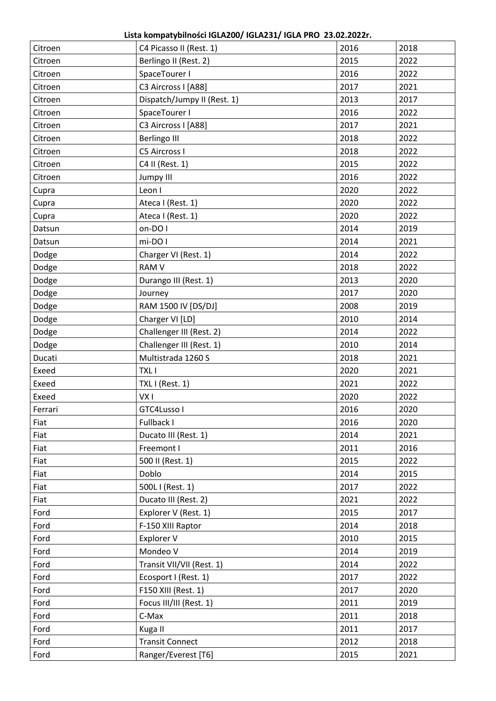**Lista kompatybilności IGLA200/ IGLA231/ IGLA PRO 23.02.2022r.**

|                    |                                                  | 2016 |              |
|--------------------|--------------------------------------------------|------|--------------|
| Citroen<br>Citroen | C4 Picasso II (Rest. 1)<br>Berlingo II (Rest. 2) | 2015 | 2018<br>2022 |
| Citroen            | SpaceTourer I                                    | 2016 | 2022         |
| Citroen            | C3 Aircross I [A88]                              | 2017 | 2021         |
| Citroen            | Dispatch/Jumpy II (Rest. 1)                      | 2013 | 2017         |
| Citroen            | SpaceTourer I                                    | 2016 | 2022         |
| Citroen            | C3 Aircross I [A88]                              | 2017 | 2021         |
| Citroen            | <b>Berlingo III</b>                              | 2018 | 2022         |
| Citroen            | C5 Aircross I                                    | 2018 | 2022         |
| Citroen            | C4 II (Rest. 1)                                  | 2015 | 2022         |
| Citroen            | <b>Jumpy III</b>                                 | 2016 | 2022         |
| Cupra              | Leon I                                           | 2020 | 2022         |
| Cupra              | Ateca I (Rest. 1)                                | 2020 | 2022         |
| Cupra              | Ateca I (Rest. 1)                                | 2020 | 2022         |
| Datsun             | on-DOI                                           | 2014 | 2019         |
| Datsun             | mi-DO I                                          | 2014 | 2021         |
| Dodge              | Charger VI (Rest. 1)                             | 2014 | 2022         |
| Dodge              | <b>RAM V</b>                                     | 2018 | 2022         |
| Dodge              | Durango III (Rest. 1)                            | 2013 | 2020         |
| Dodge              | Journey                                          | 2017 | 2020         |
| Dodge              | RAM 1500 IV [DS/DJ]                              | 2008 | 2019         |
| Dodge              | Charger VI [LD]                                  | 2010 | 2014         |
| Dodge              | Challenger III (Rest. 2)                         | 2014 | 2022         |
| Dodge              | Challenger III (Rest. 1)                         | 2010 | 2014         |
| Ducati             | Multistrada 1260 S                               | 2018 | 2021         |
| Exeed              | <b>TXLI</b>                                      | 2020 | 2021         |
| Exeed              | TXL I (Rest. 1)                                  | 2021 | 2022         |
| Exeed              | VX <sub>I</sub>                                  | 2020 | 2022         |
| Ferrari            | GTC4Lusso I                                      | 2016 | 2020         |
| Fiat               | Fullback I                                       | 2016 | 2020         |
| Fiat               | Ducato III (Rest. 1)                             | 2014 | 2021         |
| Fiat               | Freemont I                                       | 2011 | 2016         |
| Fiat               | 500 II (Rest. 1)                                 | 2015 | 2022         |
| Fiat               | Doblo                                            | 2014 | 2015         |
| Fiat               | 500L I (Rest. 1)                                 | 2017 | 2022         |
| Fiat               | Ducato III (Rest. 2)                             | 2021 | 2022         |
| Ford               | Explorer V (Rest. 1)                             | 2015 | 2017         |
| Ford               | F-150 XIII Raptor                                | 2014 | 2018         |
| Ford               | Explorer V                                       | 2010 | 2015         |
| Ford               | Mondeo V                                         | 2014 | 2019         |
| Ford               | Transit VII/VII (Rest. 1)                        | 2014 | 2022         |
| Ford               | Ecosport I (Rest. 1)                             | 2017 | 2022         |
| Ford               | F150 XIII (Rest. 1)                              | 2017 | 2020         |
| Ford               | Focus III/III (Rest. 1)                          | 2011 | 2019         |
| Ford               | C-Max                                            | 2011 | 2018         |
| Ford               | Kuga II                                          | 2011 | 2017         |
| Ford               | <b>Transit Connect</b>                           | 2012 | 2018         |
| Ford               | Ranger/Everest [T6]                              | 2015 | 2021         |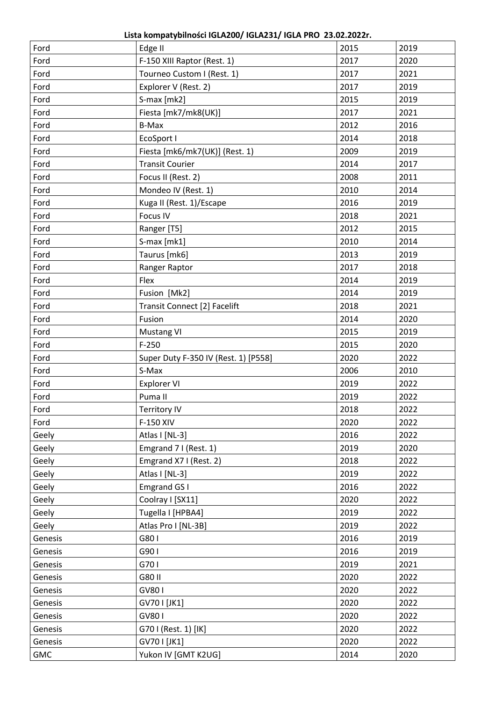**Lista kompatybilności IGLA200/ IGLA231/ IGLA PRO 23.02.2022r.**

| Ford       | Edge II                              | 2015 | 2019 |
|------------|--------------------------------------|------|------|
| Ford       | F-150 XIII Raptor (Rest. 1)          | 2017 | 2020 |
| Ford       | Tourneo Custom I (Rest. 1)           | 2017 | 2021 |
| Ford       | Explorer V (Rest. 2)                 | 2017 | 2019 |
| Ford       | S-max [mk2]                          | 2015 | 2019 |
| Ford       | Fiesta [mk7/mk8(UK)]                 | 2017 | 2021 |
| Ford       | B-Max                                | 2012 | 2016 |
| Ford       | EcoSport I                           | 2014 | 2018 |
| Ford       | Fiesta [mk6/mk7(UK)] (Rest. 1)       | 2009 | 2019 |
| Ford       | <b>Transit Courier</b>               | 2014 | 2017 |
| Ford       | Focus II (Rest. 2)                   | 2008 | 2011 |
| Ford       | Mondeo IV (Rest. 1)                  | 2010 | 2014 |
| Ford       | Kuga II (Rest. 1)/Escape             | 2016 | 2019 |
| Ford       | Focus IV                             | 2018 | 2021 |
| Ford       | Ranger [T5]                          | 2012 | 2015 |
| Ford       | S-max [mk1]                          | 2010 | 2014 |
| Ford       | Taurus [mk6]                         | 2013 | 2019 |
| Ford       | Ranger Raptor                        | 2017 | 2018 |
| Ford       | Flex                                 | 2014 | 2019 |
| Ford       | Fusion [Mk2]                         | 2014 | 2019 |
| Ford       | Transit Connect [2] Facelift         | 2018 | 2021 |
| Ford       | Fusion                               | 2014 | 2020 |
| Ford       | <b>Mustang VI</b>                    | 2015 | 2019 |
| Ford       | $F-250$                              | 2015 | 2020 |
| Ford       | Super Duty F-350 IV (Rest. 1) [P558] | 2020 | 2022 |
| Ford       | S-Max                                | 2006 | 2010 |
| Ford       | <b>Explorer VI</b>                   | 2019 | 2022 |
| Ford       | Puma II                              | 2019 | 2022 |
| Ford       | <b>Territory IV</b>                  | 2018 | 2022 |
| Ford       | F-150 XIV                            | 2020 | 2022 |
| Geely      | Atlas I [NL-3]                       | 2016 | 2022 |
| Geely      | Emgrand 7 I (Rest. 1)                | 2019 | 2020 |
| Geely      | Emgrand X7 I (Rest. 2)               | 2018 | 2022 |
| Geely      | Atlas I [NL-3]                       | 2019 | 2022 |
| Geely      | Emgrand GS I                         | 2016 | 2022 |
| Geely      | Coolray I [SX11]                     | 2020 | 2022 |
| Geely      | Tugella I [HPBA4]                    | 2019 | 2022 |
| Geely      | Atlas Pro I [NL-3B]                  | 2019 | 2022 |
| Genesis    | G801                                 | 2016 | 2019 |
| Genesis    | G901                                 | 2016 | 2019 |
| Genesis    | G701                                 | 2019 | 2021 |
| Genesis    | G80 II                               | 2020 | 2022 |
| Genesis    | GV801                                | 2020 | 2022 |
| Genesis    | GV70   [JK1]                         | 2020 | 2022 |
| Genesis    | GV801                                | 2020 | 2022 |
| Genesis    | G701 (Rest. 1) [IK]                  | 2020 | 2022 |
| Genesis    | GV70   [JK1]                         | 2020 | 2022 |
| <b>GMC</b> | Yukon IV [GMT K2UG]                  | 2014 | 2020 |
|            |                                      |      |      |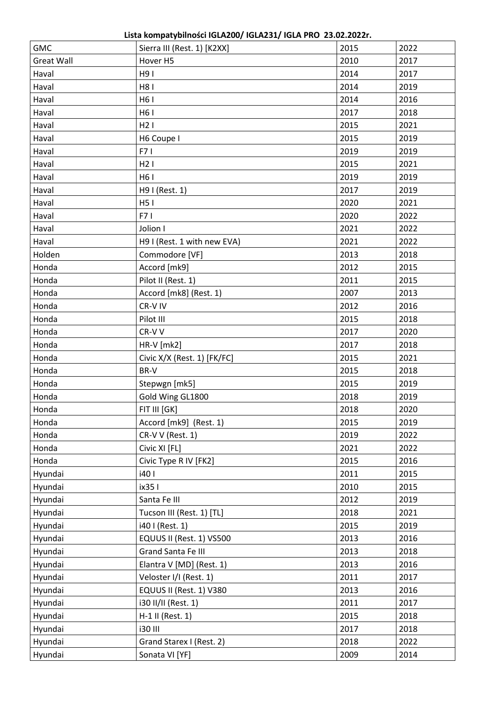| <b>GMC</b>        | Sierra III (Rest. 1) [K2XX] | 2015 | 2022 |
|-------------------|-----------------------------|------|------|
| <b>Great Wall</b> | Hover H5                    | 2010 | 2017 |
| Haval             | H91                         | 2014 | 2017 |
| Haval             | H81                         | 2014 | 2019 |
| Haval             | H61                         | 2014 | 2016 |
| Haval             | H6 I                        | 2017 | 2018 |
| Haval             | H21                         | 2015 | 2021 |
| Haval             | H6 Coupe I                  | 2015 | 2019 |
| Haval             | F71                         | 2019 | 2019 |
| Haval             | H21                         | 2015 | 2021 |
| Haval             | H61                         | 2019 | 2019 |
| Haval             | H9 I (Rest. 1)              | 2017 | 2019 |
| Haval             | H51                         | 2020 | 2021 |
| Haval             | F71                         | 2020 | 2022 |
| Haval             | Jolion I                    | 2021 | 2022 |
| Haval             | H9 I (Rest. 1 with new EVA) | 2021 | 2022 |
| Holden            | Commodore [VF]              | 2013 | 2018 |
| Honda             | Accord [mk9]                | 2012 | 2015 |
| Honda             | Pilot II (Rest. 1)          | 2011 | 2015 |
| Honda             | Accord [mk8] (Rest. 1)      | 2007 | 2013 |
| Honda             | CR-V IV                     | 2012 | 2016 |
| Honda             | Pilot III                   | 2015 | 2018 |
| Honda             | CR-VV                       | 2017 | 2020 |
| Honda             | $HR-V$ [mk2]                | 2017 | 2018 |
| Honda             | Civic X/X (Rest. 1) [FK/FC] | 2015 | 2021 |
| Honda             | BR-V                        | 2015 | 2018 |
| Honda             | Stepwgn [mk5]               | 2015 | 2019 |
| Honda             | Gold Wing GL1800            | 2018 | 2019 |
| Honda             | FIT III [GK]                | 2018 | 2020 |
| Honda             | Accord [mk9] (Rest. 1)      | 2015 | 2019 |
| Honda             | CR-V V (Rest. 1)            | 2019 | 2022 |
| Honda             | Civic XI [FL]               | 2021 | 2022 |
| Honda             | Civic Type R IV [FK2]       | 2015 | 2016 |
| Hyundai           | i40 l                       | 2011 | 2015 |
| Hyundai           | ix35 l                      | 2010 | 2015 |
| Hyundai           | Santa Fe III                | 2012 | 2019 |
| Hyundai           | Tucson III (Rest. 1) [TL]   | 2018 | 2021 |
| Hyundai           | i40 I (Rest. 1)             | 2015 | 2019 |
| Hyundai           | EQUUS II (Rest. 1) VS500    | 2013 | 2016 |
| Hyundai           | Grand Santa Fe III          | 2013 | 2018 |
| Hyundai           | Elantra V [MD] (Rest. 1)    | 2013 | 2016 |
| Hyundai           | Veloster I/I (Rest. 1)      | 2011 | 2017 |
| Hyundai           | EQUUS II (Rest. 1) V380     | 2013 | 2016 |
| Hyundai           | i30 II/II (Rest. 1)         | 2011 | 2017 |
| Hyundai           | H-1 II (Rest. 1)            | 2015 | 2018 |
| Hyundai           | <b>i30 III</b>              | 2017 | 2018 |
| Hyundai           | Grand Starex I (Rest. 2)    | 2018 | 2022 |
| Hyundai           | Sonata VI [YF]              | 2009 | 2014 |
|                   |                             |      |      |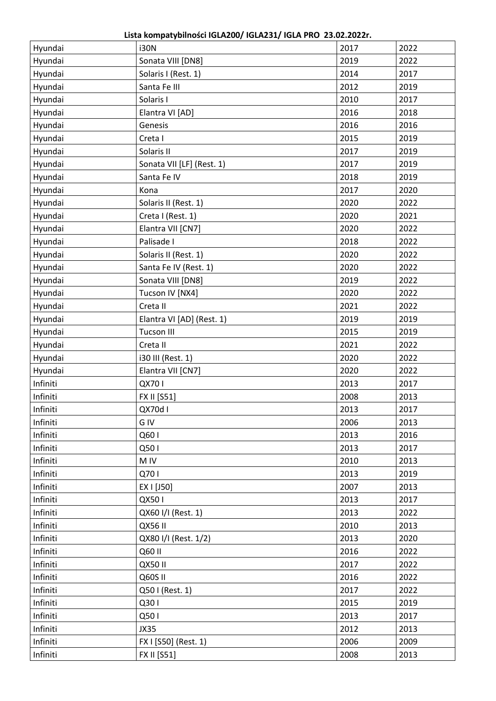**Lista kompatybilności IGLA200/ IGLA231/ IGLA PRO 23.02.2022r.**

| Hyundai  | <b>i30N</b>               | 2017 | 2022 |
|----------|---------------------------|------|------|
| Hyundai  | Sonata VIII [DN8]         | 2019 | 2022 |
| Hyundai  | Solaris I (Rest. 1)       | 2014 | 2017 |
| Hyundai  | Santa Fe III              | 2012 | 2019 |
| Hyundai  | Solaris I                 | 2010 | 2017 |
| Hyundai  | Elantra VI [AD]           | 2016 | 2018 |
| Hyundai  | Genesis                   | 2016 | 2016 |
| Hyundai  | Creta I                   | 2015 | 2019 |
| Hyundai  | Solaris II                | 2017 | 2019 |
| Hyundai  | Sonata VII [LF] (Rest. 1) | 2017 | 2019 |
| Hyundai  | Santa Fe IV               | 2018 | 2019 |
| Hyundai  | Kona                      | 2017 | 2020 |
| Hyundai  | Solaris II (Rest. 1)      | 2020 | 2022 |
| Hyundai  | Creta I (Rest. 1)         | 2020 | 2021 |
| Hyundai  | Elantra VII [CN7]         | 2020 | 2022 |
| Hyundai  | Palisade I                | 2018 | 2022 |
| Hyundai  | Solaris II (Rest. 1)      | 2020 | 2022 |
| Hyundai  | Santa Fe IV (Rest. 1)     | 2020 | 2022 |
| Hyundai  | Sonata VIII [DN8]         | 2019 | 2022 |
| Hyundai  | Tucson IV [NX4]           | 2020 | 2022 |
| Hyundai  | Creta II                  | 2021 | 2022 |
| Hyundai  | Elantra VI [AD] (Rest. 1) | 2019 | 2019 |
| Hyundai  | <b>Tucson III</b>         | 2015 | 2019 |
| Hyundai  | Creta II                  | 2021 | 2022 |
| Hyundai  | i30 III (Rest. 1)         | 2020 | 2022 |
| Hyundai  | Elantra VII [CN7]         | 2020 | 2022 |
| Infiniti | QX701                     | 2013 | 2017 |
| Infiniti | FX II [S51]               | 2008 | 2013 |
| Infiniti | QX70d I                   | 2013 | 2017 |
| Infiniti | G IV                      | 2006 | 2013 |
| Infiniti | Q601                      | 2013 | 2016 |
| Infiniti | Q501                      | 2013 | 2017 |
| Infiniti | M IV                      | 2010 | 2013 |
| Infiniti | Q701                      | 2013 | 2019 |
| Infiniti | EX I [J50]                | 2007 | 2013 |
| Infiniti | QX501                     | 2013 | 2017 |
| Infiniti | QX60 I/I (Rest. 1)        | 2013 | 2022 |
| Infiniti | <b>QX56 II</b>            | 2010 | 2013 |
| Infiniti | QX80 I/I (Rest. 1/2)      | 2013 | 2020 |
| Infiniti | Q60 II                    | 2016 | 2022 |
| Infiniti | <b>QX50 II</b>            | 2017 | 2022 |
| Infiniti | Q60S II                   | 2016 | 2022 |
| Infiniti | Q501 (Rest. 1)            | 2017 | 2022 |
| Infiniti | Q301                      | 2015 | 2019 |
| Infiniti | Q501                      | 2013 | 2017 |
| Infiniti | <b>JX35</b>               | 2012 | 2013 |
| Infiniti | FX I [S50] (Rest. 1)      | 2006 | 2009 |
| Infiniti | FX II [S51]               | 2008 | 2013 |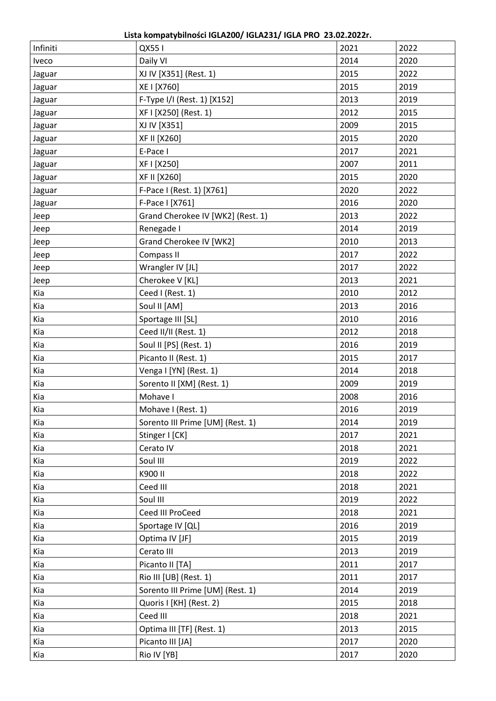**Lista kompatybilności IGLA200/ IGLA231/ IGLA PRO 23.02.2022r.**

| Infiniti | QX551                             | 2021 | 2022 |
|----------|-----------------------------------|------|------|
| Iveco    | Daily VI                          | 2014 | 2020 |
| Jaguar   | XJ IV [X351] (Rest. 1)            | 2015 | 2022 |
| Jaguar   | XE I [X760]                       | 2015 | 2019 |
| Jaguar   | F-Type I/I (Rest. 1) [X152]       | 2013 | 2019 |
| Jaguar   | XF I [X250] (Rest. 1)             | 2012 | 2015 |
| Jaguar   | XJ IV [X351]                      | 2009 | 2015 |
| Jaguar   | XF II [X260]                      | 2015 | 2020 |
| Jaguar   | E-Pace I                          | 2017 | 2021 |
| Jaguar   | XF I [X250]                       | 2007 | 2011 |
| Jaguar   | XF II [X260]                      | 2015 | 2020 |
| Jaguar   | F-Pace I (Rest. 1) [X761]         | 2020 | 2022 |
| Jaguar   | F-Pace I [X761]                   | 2016 | 2020 |
| Jeep     | Grand Cherokee IV [WK2] (Rest. 1) | 2013 | 2022 |
| Jeep     | Renegade I                        | 2014 | 2019 |
| Jeep     | Grand Cherokee IV [WK2]           | 2010 | 2013 |
| Jeep     | Compass II                        | 2017 | 2022 |
| Jeep     | Wrangler IV [JL]                  | 2017 | 2022 |
| Jeep     | Cherokee V [KL]                   | 2013 | 2021 |
| Kia      | Ceed I (Rest. 1)                  | 2010 | 2012 |
| Kia      | Soul II [AM]                      | 2013 | 2016 |
| Kia      | Sportage III [SL]                 | 2010 | 2016 |
| Kia      | Ceed II/II (Rest. 1)              | 2012 | 2018 |
| Kia      | Soul II [PS] (Rest. 1)            | 2016 | 2019 |
| Kia      | Picanto II (Rest. 1)              | 2015 | 2017 |
| Kia      | Venga I [YN] (Rest. 1)            | 2014 | 2018 |
| Kia      | Sorento II [XM] (Rest. 1)         | 2009 | 2019 |
| Kia      | Mohave I                          | 2008 | 2016 |
| Kia      | Mohave I (Rest. 1)                | 2016 | 2019 |
| Kia      | Sorento III Prime [UM] (Rest. 1)  | 2014 | 2019 |
| Kia      | Stinger I [CK]                    | 2017 | 2021 |
| Kia      | Cerato IV                         | 2018 | 2021 |
| Kia      | Soul III                          | 2019 | 2022 |
| Kia      | K900 II                           | 2018 | 2022 |
| Kia      | Ceed III                          | 2018 | 2021 |
| Kia      | Soul III                          | 2019 | 2022 |
| Kia      | Ceed III ProCeed                  | 2018 | 2021 |
| Kia      | Sportage IV [QL]                  | 2016 | 2019 |
| Kia      | Optima IV [JF]                    | 2015 | 2019 |
| Kia      | Cerato III                        | 2013 | 2019 |
| Kia      | Picanto II [TA]                   | 2011 | 2017 |
| Kia      | Rio III [UB] (Rest. 1)            | 2011 | 2017 |
| Kia      | Sorento III Prime [UM] (Rest. 1)  | 2014 | 2019 |
| Kia      | Quoris I [KH] (Rest. 2)           | 2015 | 2018 |
| Kia      | Ceed III                          | 2018 | 2021 |
| Kia      | Optima III [TF] (Rest. 1)         | 2013 | 2015 |
| Kia      | Picanto III [JA]                  | 2017 | 2020 |
| Kia      | Rio IV [YB]                       | 2017 | 2020 |
|          |                                   |      |      |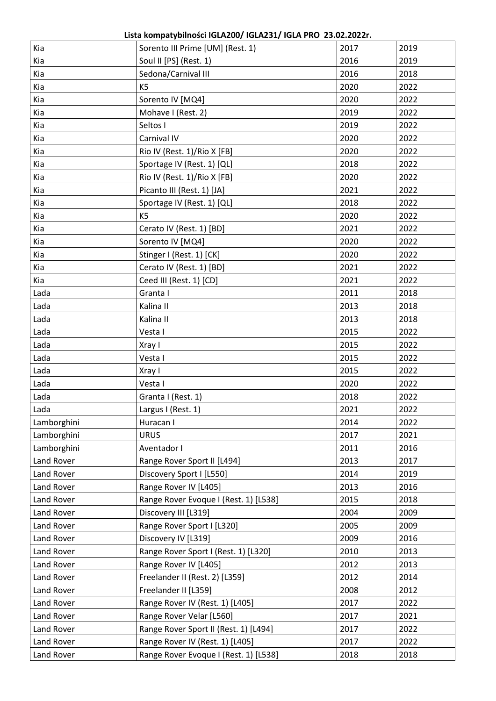**Lista kompatybilności IGLA200/ IGLA231/ IGLA PRO 23.02.2022r.**

| Kia         | Sorento III Prime [UM] (Rest. 1)      | 2017 | 2019 |
|-------------|---------------------------------------|------|------|
| Kia         | Soul II [PS] (Rest. 1)                | 2016 | 2019 |
| Kia         | Sedona/Carnival III                   | 2016 | 2018 |
| Kia         | K <sub>5</sub>                        | 2020 | 2022 |
| Kia         | Sorento IV [MQ4]                      | 2020 | 2022 |
| Kia         | Mohave I (Rest. 2)                    | 2019 | 2022 |
| Kia         | Seltos I                              | 2019 | 2022 |
| Kia         | Carnival IV                           | 2020 | 2022 |
| Kia         | Rio IV (Rest. 1)/Rio X [FB]           | 2020 | 2022 |
| Kia         | Sportage IV (Rest. 1) [QL]            | 2018 | 2022 |
| Kia         | Rio IV (Rest. 1)/Rio X [FB]           | 2020 | 2022 |
| Kia         | Picanto III (Rest. 1) [JA]            | 2021 | 2022 |
| Kia         | Sportage IV (Rest. 1) [QL]            | 2018 | 2022 |
| Kia         | K <sub>5</sub>                        | 2020 | 2022 |
| Kia         | Cerato IV (Rest. 1) [BD]              | 2021 | 2022 |
| Kia         | Sorento IV [MQ4]                      | 2020 | 2022 |
| Kia         | Stinger I (Rest. 1) [CK]              | 2020 | 2022 |
| Kia         | Cerato IV (Rest. 1) [BD]              | 2021 | 2022 |
| Kia         | Ceed III (Rest. 1) [CD]               | 2021 | 2022 |
| Lada        | Granta I                              | 2011 | 2018 |
| Lada        | Kalina II                             | 2013 | 2018 |
| Lada        | Kalina II                             | 2013 | 2018 |
| Lada        | Vesta I                               | 2015 | 2022 |
| Lada        | Xray I                                | 2015 | 2022 |
| Lada        | Vesta I                               | 2015 | 2022 |
| Lada        | Xray I                                | 2015 | 2022 |
| Lada        | Vesta I                               | 2020 | 2022 |
| Lada        | Granta I (Rest. 1)                    | 2018 | 2022 |
| Lada        | Largus I (Rest. 1)                    | 2021 | 2022 |
| Lamborghini | Huracan I                             | 2014 | 2022 |
| Lamborghini | <b>URUS</b>                           | 2017 | 2021 |
| Lamborghini | Aventador I                           | 2011 | 2016 |
| Land Rover  | Range Rover Sport II [L494]           | 2013 | 2017 |
| Land Rover  | Discovery Sport I [L550]              | 2014 | 2019 |
| Land Rover  | Range Rover IV [L405]                 | 2013 | 2016 |
| Land Rover  | Range Rover Evoque I (Rest. 1) [L538] | 2015 | 2018 |
| Land Rover  | Discovery III [L319]                  | 2004 | 2009 |
| Land Rover  | Range Rover Sport I [L320]            | 2005 | 2009 |
| Land Rover  | Discovery IV [L319]                   | 2009 | 2016 |
| Land Rover  | Range Rover Sport I (Rest. 1) [L320]  | 2010 | 2013 |
| Land Rover  | Range Rover IV [L405]                 | 2012 | 2013 |
| Land Rover  | Freelander II (Rest. 2) [L359]        | 2012 | 2014 |
| Land Rover  | Freelander II [L359]                  | 2008 | 2012 |
| Land Rover  | Range Rover IV (Rest. 1) [L405]       | 2017 | 2022 |
| Land Rover  | Range Rover Velar [L560]              | 2017 | 2021 |
| Land Rover  | Range Rover Sport II (Rest. 1) [L494] | 2017 | 2022 |
| Land Rover  | Range Rover IV (Rest. 1) [L405]       | 2017 | 2022 |
| Land Rover  | Range Rover Evoque I (Rest. 1) [L538] | 2018 | 2018 |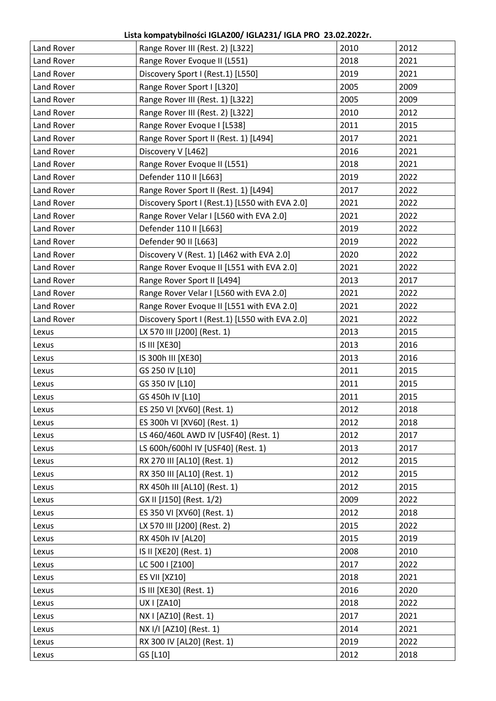| Land Rover        | Range Rover III (Rest. 2) [L322]               | 2010 | 2012 |
|-------------------|------------------------------------------------|------|------|
| Land Rover        | Range Rover Evoque II (L551)                   | 2018 | 2021 |
| Land Rover        | Discovery Sport I (Rest.1) [L550]              | 2019 | 2021 |
| Land Rover        | Range Rover Sport I [L320]                     | 2005 | 2009 |
| Land Rover        | Range Rover III (Rest. 1) [L322]               | 2005 | 2009 |
| Land Rover        | Range Rover III (Rest. 2) [L322]               | 2010 | 2012 |
| Land Rover        | Range Rover Evoque I [L538]                    | 2011 | 2015 |
| Land Rover        | Range Rover Sport II (Rest. 1) [L494]          | 2017 | 2021 |
| Land Rover        | Discovery V [L462]                             | 2016 | 2021 |
| Land Rover        | Range Rover Evoque II (L551)                   | 2018 | 2021 |
| Land Rover        | Defender 110 II [L663]                         | 2019 | 2022 |
| Land Rover        | Range Rover Sport II (Rest. 1) [L494]          | 2017 | 2022 |
| Land Rover        | Discovery Sport I (Rest.1) [L550 with EVA 2.0] | 2021 | 2022 |
| Land Rover        | Range Rover Velar I [L560 with EVA 2.0]        | 2021 | 2022 |
| Land Rover        | Defender 110 II [L663]                         | 2019 | 2022 |
| Land Rover        | Defender 90 II [L663]                          | 2019 | 2022 |
| Land Rover        | Discovery V (Rest. 1) [L462 with EVA 2.0]      | 2020 | 2022 |
| <b>Land Rover</b> | Range Rover Evoque II [L551 with EVA 2.0]      | 2021 | 2022 |
| Land Rover        | Range Rover Sport II [L494]                    | 2013 | 2017 |
| Land Rover        | Range Rover Velar I [L560 with EVA 2.0]        | 2021 | 2022 |
| Land Rover        | Range Rover Evoque II [L551 with EVA 2.0]      | 2021 | 2022 |
| Land Rover        | Discovery Sport I (Rest.1) [L550 with EVA 2.0] | 2021 | 2022 |
| Lexus             | LX 570 III [J200] (Rest. 1)                    | 2013 | 2015 |
| Lexus             | IS III [XE30]                                  | 2013 | 2016 |
| Lexus             | IS 300h III [XE30]                             | 2013 | 2016 |
| Lexus             | GS 250 IV [L10]                                | 2011 | 2015 |
| Lexus             | GS 350 IV [L10]                                | 2011 | 2015 |
| Lexus             | GS 450h IV [L10]                               | 2011 | 2015 |
| Lexus             | ES 250 VI [XV60] (Rest. 1)                     | 2012 | 2018 |
| Lexus             | ES 300h VI [XV60] (Rest. 1)                    | 2012 | 2018 |
| Lexus             | LS 460/460L AWD IV [USF40] (Rest. 1)           | 2012 | 2017 |
| Lexus             | LS 600h/600hl IV [USF40] (Rest. 1)             | 2013 | 2017 |
| Lexus             | RX 270 III [AL10] (Rest. 1)                    | 2012 | 2015 |
| Lexus             | RX 350 III [AL10] (Rest. 1)                    | 2012 | 2015 |
| Lexus             | RX 450h III [AL10] (Rest. 1)                   | 2012 | 2015 |
| Lexus             | GX II [J150] (Rest. 1/2)                       | 2009 | 2022 |
| Lexus             | ES 350 VI [XV60] (Rest. 1)                     | 2012 | 2018 |
| Lexus             | LX 570 III [J200] (Rest. 2)                    | 2015 | 2022 |
| Lexus             | RX 450h IV [AL20]                              | 2015 | 2019 |
| Lexus             | IS II [XE20] (Rest. 1)                         | 2008 | 2010 |
| Lexus             | LC 500   [Z100]                                | 2017 | 2022 |
| Lexus             | <b>ES VII [XZ10]</b>                           | 2018 | 2021 |
| Lexus             | IS III [XE30] (Rest. 1)                        | 2016 | 2020 |
| Lexus             | UX I [ZA10]                                    | 2018 | 2022 |
| Lexus             | NX I [AZ10] (Rest. 1)                          | 2017 | 2021 |
| Lexus             | NX I/I [AZ10] (Rest. 1)                        | 2014 | 2021 |
| Lexus             | RX 300 IV [AL20] (Rest. 1)                     | 2019 | 2022 |
| Lexus             | GS [L10]                                       | 2012 | 2018 |
|                   |                                                |      |      |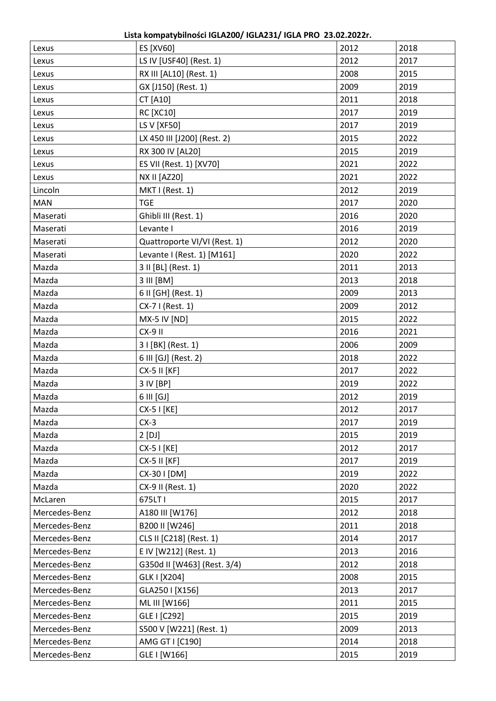**Lista kompatybilności IGLA200/ IGLA231/ IGLA PRO 23.02.2022r.**

| Lexus         | ES [XV60]                    | 2012 | 2018 |
|---------------|------------------------------|------|------|
| Lexus         | LS IV [USF40] (Rest. 1)      | 2012 | 2017 |
| Lexus         | RX III [AL10] (Rest. 1)      | 2008 | 2015 |
| Lexus         | GX [J150] (Rest. 1)          | 2009 | 2019 |
| Lexus         | <b>CT [A10]</b>              | 2011 | 2018 |
| Lexus         | <b>RC [XC10]</b>             | 2017 | 2019 |
| Lexus         | LS V [XF50]                  | 2017 | 2019 |
| Lexus         | LX 450 III [J200] (Rest. 2)  | 2015 | 2022 |
| Lexus         | RX 300 IV [AL20]             | 2015 | 2019 |
| Lexus         | ES VII (Rest. 1) [XV70]      | 2021 | 2022 |
| Lexus         | <b>NX II [AZ20]</b>          | 2021 | 2022 |
| Lincoln       | MKTI (Rest. 1)               | 2012 | 2019 |
| <b>MAN</b>    | <b>TGE</b>                   | 2017 | 2020 |
| Maserati      | Ghibli III (Rest. 1)         | 2016 | 2020 |
| Maserati      | Levante I                    | 2016 | 2019 |
| Maserati      | Quattroporte VI/VI (Rest. 1) | 2012 | 2020 |
| Maserati      | Levante I (Rest. 1) [M161]   | 2020 | 2022 |
| Mazda         | 3 II [BL] (Rest. 1)          | 2011 | 2013 |
| Mazda         | 3 III [BM]                   | 2013 | 2018 |
| Mazda         | 6 II [GH] (Rest. 1)          | 2009 | 2013 |
| Mazda         | CX-7 I (Rest. 1)             | 2009 | 2012 |
| Mazda         | <b>MX-5 IV [ND]</b>          | 2015 | 2022 |
| Mazda         | $CX-9$ II                    | 2016 | 2021 |
| Mazda         | 3 I [BK] (Rest. 1)           | 2006 | 2009 |
| Mazda         | 6 III [GJ] (Rest. 2)         | 2018 | 2022 |
| Mazda         | <b>CX-5 II [KF]</b>          | 2017 | 2022 |
| Mazda         | 3 IV [BP]                    | 2019 | 2022 |
| Mazda         | 6 III [GJ]                   | 2012 | 2019 |
| Mazda         | CX-5 I [KE]                  | 2012 | 2017 |
| Mazda         | $CX-3$                       | 2017 | 2019 |
| Mazda         | $2$ [DJ]                     | 2015 | 2019 |
| Mazda         | $CX-5$   $[KE]$              | 2012 | 2017 |
| Mazda         | <b>CX-5 II [KF]</b>          | 2017 | 2019 |
| Mazda         | CX-30 I [DM]                 | 2019 | 2022 |
| Mazda         | CX-9 II (Rest. 1)            | 2020 | 2022 |
| McLaren       | 675LT1                       | 2015 | 2017 |
| Mercedes-Benz | A180 III [W176]              | 2012 | 2018 |
| Mercedes-Benz | B200 II [W246]               | 2011 | 2018 |
| Mercedes-Benz | CLS II [C218] (Rest. 1)      | 2014 | 2017 |
| Mercedes-Benz | E IV [W212] (Rest. 1)        | 2013 | 2016 |
| Mercedes-Benz | G350d II [W463] (Rest. 3/4)  | 2012 | 2018 |
| Mercedes-Benz | GLK   [X204]                 | 2008 | 2015 |
| Mercedes-Benz | GLA250   [X156]              | 2013 | 2017 |
| Mercedes-Benz | ML III [W166]                | 2011 | 2015 |
| Mercedes-Benz | GLE I [C292]                 | 2015 | 2019 |
| Mercedes-Benz | S500 V [W221] (Rest. 1)      | 2009 | 2013 |
| Mercedes-Benz | AMG GT I [C190]              | 2014 | 2018 |
| Mercedes-Benz | GLE I [W166]                 | 2015 | 2019 |
|               |                              |      |      |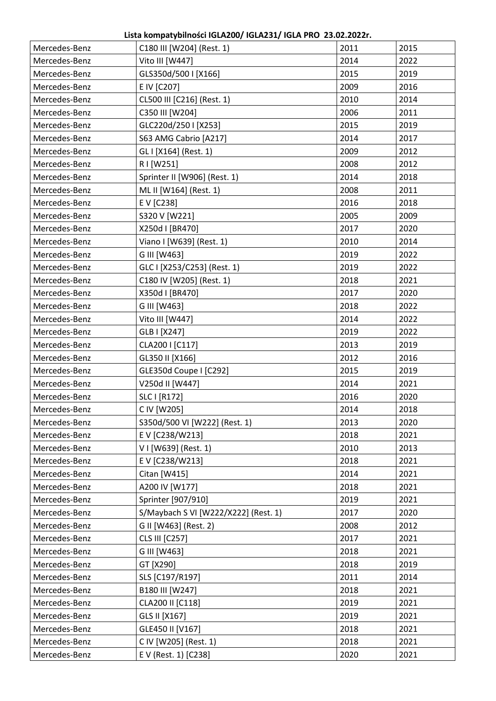| Mercedes-Benz | C180 III [W204] (Rest. 1)            | 2011 | 2015 |
|---------------|--------------------------------------|------|------|
| Mercedes-Benz | Vito III [W447]                      | 2014 | 2022 |
| Mercedes-Benz | GLS350d/500 I [X166]                 | 2015 | 2019 |
| Mercedes-Benz | E IV [C207]                          | 2009 | 2016 |
| Mercedes-Benz | CL500 III [C216] (Rest. 1)           | 2010 | 2014 |
| Mercedes-Benz | C350 III [W204]                      | 2006 | 2011 |
| Mercedes-Benz | GLC220d/250   [X253]                 | 2015 | 2019 |
| Mercedes-Benz | S63 AMG Cabrio [A217]                | 2014 | 2017 |
| Mercedes-Benz | GL I [X164] (Rest. 1)                | 2009 | 2012 |
| Mercedes-Benz | R I [W251]                           | 2008 | 2012 |
| Mercedes-Benz | Sprinter II [W906] (Rest. 1)         | 2014 | 2018 |
| Mercedes-Benz | ML II [W164] (Rest. 1)               | 2008 | 2011 |
| Mercedes-Benz | E V [C238]                           | 2016 | 2018 |
| Mercedes-Benz | S320 V [W221]                        | 2005 | 2009 |
| Mercedes-Benz | X250d I [BR470]                      | 2017 | 2020 |
| Mercedes-Benz | Viano I [W639] (Rest. 1)             | 2010 | 2014 |
| Mercedes-Benz | G III [W463]                         | 2019 | 2022 |
| Mercedes-Benz | GLC I [X253/C253] (Rest. 1)          | 2019 | 2022 |
| Mercedes-Benz | C180 IV [W205] (Rest. 1)             | 2018 | 2021 |
| Mercedes-Benz | X350d I [BR470]                      | 2017 | 2020 |
| Mercedes-Benz | G III [W463]                         | 2018 | 2022 |
| Mercedes-Benz | Vito III [W447]                      | 2014 | 2022 |
| Mercedes-Benz | GLB I [X247]                         | 2019 | 2022 |
| Mercedes-Benz | CLA200   [C117]                      | 2013 | 2019 |
| Mercedes-Benz | GL350 II [X166]                      | 2012 | 2016 |
| Mercedes-Benz | <b>GLE350d Coupe I [C292]</b>        | 2015 | 2019 |
| Mercedes-Benz | V250d II [W447]                      | 2014 | 2021 |
| Mercedes-Benz | SLC I [R172]                         | 2016 | 2020 |
| Mercedes-Benz | C IV [W205]                          | 2014 | 2018 |
| Mercedes-Benz | S350d/500 VI [W222] (Rest. 1)        | 2013 | 2020 |
| Mercedes-Benz | E V [C238/W213]                      | 2018 | 2021 |
| Mercedes-Benz | V I [W639] (Rest. 1)                 | 2010 | 2013 |
| Mercedes-Benz | E V [C238/W213]                      | 2018 | 2021 |
| Mercedes-Benz | Citan [W415]                         | 2014 | 2021 |
| Mercedes-Benz | A200 IV [W177]                       | 2018 | 2021 |
| Mercedes-Benz | Sprinter [907/910]                   | 2019 | 2021 |
| Mercedes-Benz | S/Maybach S VI [W222/X222] (Rest. 1) | 2017 | 2020 |
| Mercedes-Benz | G II [W463] (Rest. 2)                | 2008 | 2012 |
| Mercedes-Benz | CLS III [C257]                       | 2017 | 2021 |
| Mercedes-Benz | G III [W463]                         | 2018 | 2021 |
| Mercedes-Benz | GT [X290]                            | 2018 | 2019 |
| Mercedes-Benz | SLS [C197/R197]                      | 2011 | 2014 |
| Mercedes-Benz | B180 III [W247]                      | 2018 | 2021 |
| Mercedes-Benz | CLA200 II [C118]                     | 2019 | 2021 |
| Mercedes-Benz | GLS II [X167]                        | 2019 | 2021 |
| Mercedes-Benz | GLE450 II [V167]                     | 2018 | 2021 |
| Mercedes-Benz | C IV [W205] (Rest. 1)                | 2018 | 2021 |
| Mercedes-Benz | E V (Rest. 1) [C238]                 | 2020 | 2021 |
|               |                                      |      |      |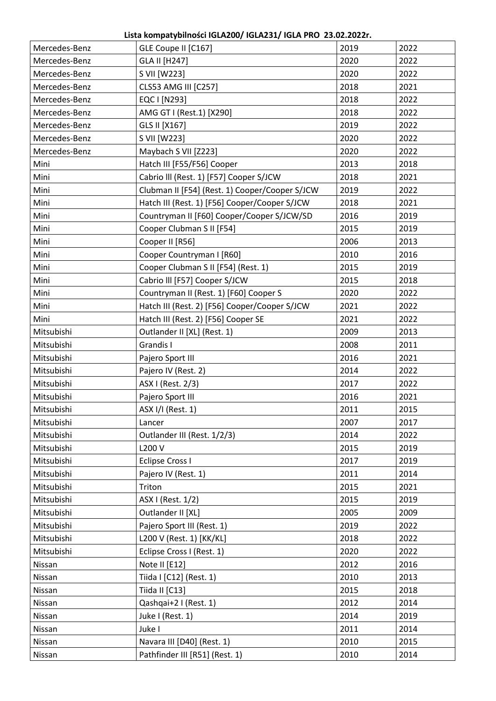| Mercedes-Benz | GLE Coupe II [C167]                            | 2019 | 2022 |
|---------------|------------------------------------------------|------|------|
| Mercedes-Benz | GLA II [H247]                                  | 2020 | 2022 |
| Mercedes-Benz | S VII [W223]                                   | 2020 | 2022 |
| Mercedes-Benz | <b>CLS53 AMG III [C257]</b>                    | 2018 | 2021 |
| Mercedes-Benz | EQC I [N293]                                   | 2018 | 2022 |
| Mercedes-Benz | AMG GT I (Rest.1) [X290]                       | 2018 | 2022 |
| Mercedes-Benz | GLS II [X167]                                  | 2019 | 2022 |
| Mercedes-Benz | S VII [W223]                                   | 2020 | 2022 |
| Mercedes-Benz | Maybach S VII [Z223]                           | 2020 | 2022 |
| Mini          | Hatch III [F55/F56] Cooper                     | 2013 | 2018 |
| Mini          | Cabrio III (Rest. 1) [F57] Cooper S/JCW        | 2018 | 2021 |
| Mini          | Clubman II [F54] (Rest. 1) Cooper/Cooper S/JCW | 2019 | 2022 |
| Mini          | Hatch III (Rest. 1) [F56] Cooper/Cooper S/JCW  | 2018 | 2021 |
| Mini          | Countryman II [F60] Cooper/Cooper S/JCW/SD     | 2016 | 2019 |
| Mini          | Cooper Clubman S II [F54]                      | 2015 | 2019 |
| Mini          | Cooper II [R56]                                | 2006 | 2013 |
| Mini          | Cooper Countryman I [R60]                      | 2010 | 2016 |
| Mini          | Cooper Clubman S II [F54] (Rest. 1)            | 2015 | 2019 |
| Mini          | Cabrio III [F57] Cooper S/JCW                  | 2015 | 2018 |
| Mini          | Countryman II (Rest. 1) [F60] Cooper S         | 2020 | 2022 |
| Mini          | Hatch III (Rest. 2) [F56] Cooper/Cooper S/JCW  | 2021 | 2022 |
| Mini          | Hatch III (Rest. 2) [F56] Cooper SE            | 2021 | 2022 |
| Mitsubishi    | Outlander II [XL] (Rest. 1)                    | 2009 | 2013 |
| Mitsubishi    | Grandis I                                      | 2008 | 2011 |
| Mitsubishi    | Pajero Sport III                               | 2016 | 2021 |
| Mitsubishi    | Pajero IV (Rest. 2)                            | 2014 | 2022 |
| Mitsubishi    | ASX I (Rest. 2/3)                              | 2017 | 2022 |
| Mitsubishi    | Pajero Sport III                               | 2016 | 2021 |
| Mitsubishi    | ASX I/I (Rest. 1)                              | 2011 | 2015 |
| Mitsubishi    | Lancer                                         | 2007 | 2017 |
| Mitsubishi    | Outlander III (Rest. 1/2/3)                    | 2014 | 2022 |
| Mitsubishi    | L200 V                                         | 2015 | 2019 |
| Mitsubishi    | <b>Eclipse Cross I</b>                         | 2017 | 2019 |
| Mitsubishi    | Pajero IV (Rest. 1)                            | 2011 | 2014 |
| Mitsubishi    | Triton                                         | 2015 | 2021 |
| Mitsubishi    | ASX I (Rest. 1/2)                              | 2015 | 2019 |
| Mitsubishi    | Outlander II [XL]                              | 2005 | 2009 |
| Mitsubishi    | Pajero Sport III (Rest. 1)                     | 2019 | 2022 |
| Mitsubishi    | L200 V (Rest. 1) [KK/KL]                       | 2018 | 2022 |
| Mitsubishi    | Eclipse Cross I (Rest. 1)                      | 2020 | 2022 |
| Nissan        | Note II [E12]                                  | 2012 | 2016 |
| Nissan        | Tiida I [C12] (Rest. 1)                        | 2010 | 2013 |
| Nissan        | Tiida II [C13]                                 | 2015 | 2018 |
| Nissan        | Qashqai+2 I (Rest. 1)                          | 2012 | 2014 |
| Nissan        | Juke I (Rest. 1)                               | 2014 | 2019 |
| Nissan        | Juke I                                         | 2011 | 2014 |
| Nissan        | Navara III [D40] (Rest. 1)                     | 2010 | 2015 |
| Nissan        | Pathfinder III [R51] (Rest. 1)                 | 2010 | 2014 |
|               |                                                |      |      |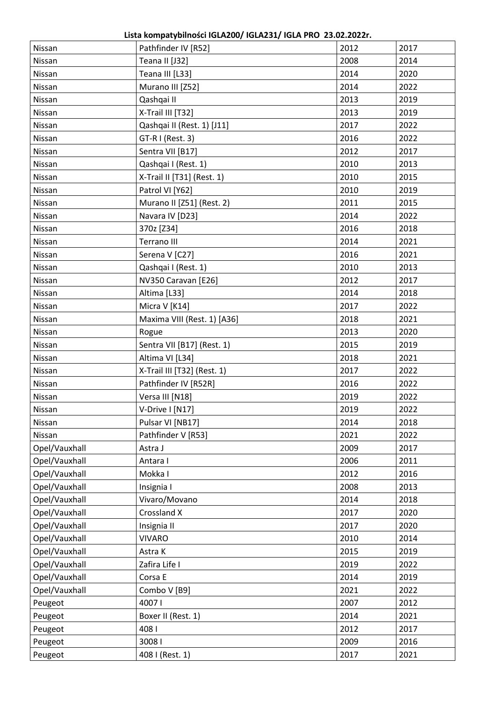**Lista kompatybilności IGLA200/ IGLA231/ IGLA PRO 23.02.2022r.**

| Nissan        | Pathfinder IV [R52]         | 2012 | 2017 |
|---------------|-----------------------------|------|------|
| Nissan        | Teana II [J32]              | 2008 | 2014 |
| Nissan        | Teana III [L33]             | 2014 | 2020 |
| Nissan        | Murano III [Z52]            | 2014 | 2022 |
| Nissan        | Qashqai II                  | 2013 | 2019 |
| Nissan        | X-Trail III [T32]           | 2013 | 2019 |
| Nissan        | Qashqai II (Rest. 1) [J11]  | 2017 | 2022 |
| Nissan        | GT-R I (Rest. 3)            | 2016 | 2022 |
| Nissan        | Sentra VII [B17]            | 2012 | 2017 |
| Nissan        | Qashqai I (Rest. 1)         | 2010 | 2013 |
| Nissan        | X-Trail II [T31] (Rest. 1)  | 2010 | 2015 |
| Nissan        | Patrol VI [Y62]             | 2010 | 2019 |
| Nissan        | Murano II [Z51] (Rest. 2)   | 2011 | 2015 |
| Nissan        | Navara IV [D23]             | 2014 | 2022 |
| Nissan        | 370z [Z34]                  | 2016 | 2018 |
| Nissan        | Terrano III                 | 2014 | 2021 |
| Nissan        | Serena V [C27]              | 2016 | 2021 |
| Nissan        | Qashqai I (Rest. 1)         | 2010 | 2013 |
| Nissan        | NV350 Caravan [E26]         | 2012 | 2017 |
| Nissan        | Altima [L33]                | 2014 | 2018 |
| Nissan        | Micra V [K14]               | 2017 | 2022 |
| Nissan        | Maxima VIII (Rest. 1) [A36] | 2018 | 2021 |
| Nissan        | Rogue                       | 2013 | 2020 |
| Nissan        | Sentra VII [B17] (Rest. 1)  | 2015 | 2019 |
| Nissan        | Altima VI [L34]             | 2018 | 2021 |
| Nissan        | X-Trail III [T32] (Rest. 1) | 2017 | 2022 |
| Nissan        | Pathfinder IV [R52R]        | 2016 | 2022 |
| Nissan        | Versa III [N18]             | 2019 | 2022 |
| Nissan        | V-Drive I [N17]             | 2019 | 2022 |
| Nissan        | Pulsar VI [NB17]            | 2014 | 2018 |
| Nissan        | Pathfinder V [R53]          | 2021 | 2022 |
| Opel/Vauxhall | Astra J                     | 2009 | 2017 |
| Opel/Vauxhall | Antara I                    | 2006 | 2011 |
| Opel/Vauxhall | Mokka I                     | 2012 | 2016 |
| Opel/Vauxhall | Insignia I                  | 2008 | 2013 |
| Opel/Vauxhall | Vivaro/Movano               | 2014 | 2018 |
| Opel/Vauxhall | Crossland X                 | 2017 | 2020 |
| Opel/Vauxhall | Insignia II                 | 2017 | 2020 |
| Opel/Vauxhall | <b>VIVARO</b>               | 2010 | 2014 |
| Opel/Vauxhall | Astra K                     | 2015 | 2019 |
| Opel/Vauxhall | Zafira Life I               | 2019 | 2022 |
| Opel/Vauxhall | Corsa E                     | 2014 | 2019 |
| Opel/Vauxhall | Combo V [B9]                | 2021 | 2022 |
| Peugeot       | 40071                       | 2007 | 2012 |
| Peugeot       | Boxer II (Rest. 1)          | 2014 | 2021 |
| Peugeot       | 4081                        | 2012 | 2017 |
| Peugeot       | 30081                       | 2009 | 2016 |
| Peugeot       | 408 I (Rest. 1)             | 2017 | 2021 |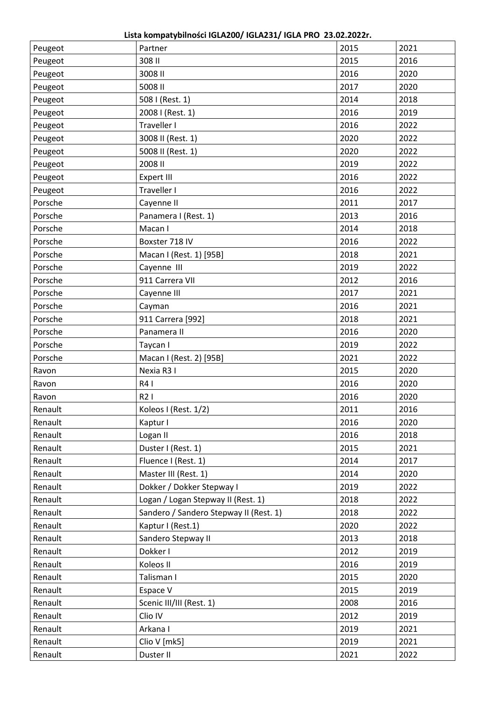**Lista kompatybilności IGLA200/ IGLA231/ IGLA PRO 23.02.2022r.**

| Peugeot | Partner                                | 2015 | 2021 |
|---------|----------------------------------------|------|------|
| Peugeot | 308 II                                 | 2015 | 2016 |
| Peugeot | 3008 II                                | 2016 | 2020 |
| Peugeot | 5008 II                                | 2017 | 2020 |
| Peugeot | 508 I (Rest. 1)                        | 2014 | 2018 |
| Peugeot | 2008 I (Rest. 1)                       | 2016 | 2019 |
| Peugeot | Traveller I                            | 2016 | 2022 |
| Peugeot | 3008 II (Rest. 1)                      | 2020 | 2022 |
| Peugeot | 5008 II (Rest. 1)                      | 2020 | 2022 |
| Peugeot | 2008 II                                | 2019 | 2022 |
| Peugeot | <b>Expert III</b>                      | 2016 | 2022 |
| Peugeot | Traveller I                            | 2016 | 2022 |
| Porsche | Cayenne II                             | 2011 | 2017 |
| Porsche | Panamera I (Rest. 1)                   | 2013 | 2016 |
| Porsche | Macan I                                | 2014 | 2018 |
| Porsche | Boxster 718 IV                         | 2016 | 2022 |
| Porsche | Macan I (Rest. 1) [95B]                | 2018 | 2021 |
| Porsche | Cayenne III                            | 2019 | 2022 |
| Porsche | 911 Carrera VII                        | 2012 | 2016 |
| Porsche | Cayenne III                            | 2017 | 2021 |
| Porsche | Cayman                                 | 2016 | 2021 |
| Porsche | 911 Carrera [992]                      | 2018 | 2021 |
| Porsche | Panamera II                            | 2016 | 2020 |
| Porsche | Taycan I                               | 2019 | 2022 |
| Porsche | Macan I (Rest. 2) [95B]                | 2021 | 2022 |
| Ravon   | Nexia R3 I                             | 2015 | 2020 |
| Ravon   | R4 I                                   | 2016 | 2020 |
| Ravon   | R21                                    | 2016 | 2020 |
| Renault | Koleos I (Rest. 1/2)                   | 2011 | 2016 |
| Renault | Kaptur I                               | 2016 | 2020 |
| Renault | Logan II                               | 2016 | 2018 |
| Renault | Duster I (Rest. 1)                     | 2015 | 2021 |
| Renault | Fluence I (Rest. 1)                    | 2014 | 2017 |
| Renault | Master III (Rest. 1)                   | 2014 | 2020 |
| Renault | Dokker / Dokker Stepway I              | 2019 | 2022 |
| Renault | Logan / Logan Stepway II (Rest. 1)     | 2018 | 2022 |
| Renault | Sandero / Sandero Stepway II (Rest. 1) | 2018 | 2022 |
| Renault | Kaptur I (Rest.1)                      | 2020 | 2022 |
| Renault | Sandero Stepway II                     | 2013 | 2018 |
| Renault | Dokker I                               | 2012 | 2019 |
| Renault | Koleos II                              | 2016 | 2019 |
| Renault | Talisman I                             | 2015 | 2020 |
| Renault | Espace V                               | 2015 | 2019 |
| Renault | Scenic III/III (Rest. 1)               | 2008 | 2016 |
| Renault | Clio IV                                | 2012 | 2019 |
| Renault | Arkana I                               | 2019 | 2021 |
| Renault | Clio V [mk5]                           | 2019 | 2021 |
| Renault | Duster II                              | 2021 | 2022 |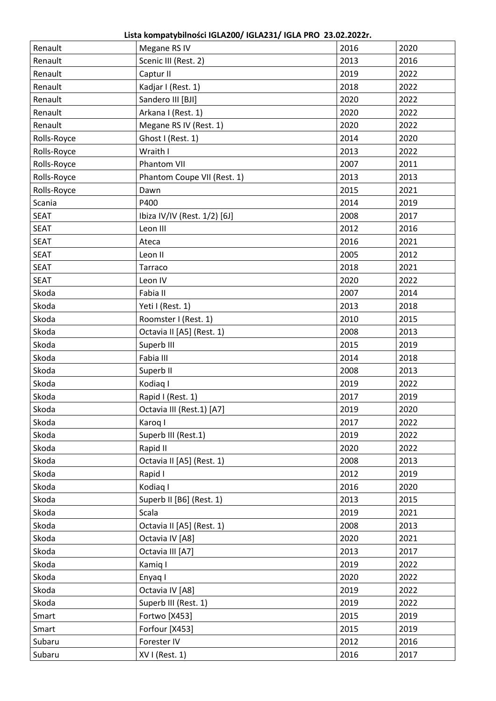**Lista kompatybilności IGLA200/ IGLA231/ IGLA PRO 23.02.2022r.**

| Renault     | Megane RS IV                 | 2016 | 2020 |
|-------------|------------------------------|------|------|
| Renault     | Scenic III (Rest. 2)         | 2013 | 2016 |
| Renault     | Captur II                    | 2019 | 2022 |
| Renault     | Kadjar I (Rest. 1)           | 2018 | 2022 |
| Renault     | Sandero III [BJI]            | 2020 | 2022 |
| Renault     | Arkana I (Rest. 1)           | 2020 | 2022 |
| Renault     | Megane RS IV (Rest. 1)       | 2020 | 2022 |
| Rolls-Royce | Ghost I (Rest. 1)            | 2014 | 2020 |
| Rolls-Royce | Wraith I                     | 2013 | 2022 |
| Rolls-Royce | Phantom VII                  | 2007 | 2011 |
| Rolls-Royce | Phantom Coupe VII (Rest. 1)  | 2013 | 2013 |
| Rolls-Royce | Dawn                         | 2015 | 2021 |
| Scania      | P400                         | 2014 | 2019 |
| <b>SEAT</b> | Ibiza IV/IV (Rest. 1/2) [6J] | 2008 | 2017 |
| <b>SEAT</b> | Leon III                     | 2012 | 2016 |
| <b>SEAT</b> | Ateca                        | 2016 | 2021 |
| <b>SEAT</b> | Leon II                      | 2005 | 2012 |
| <b>SEAT</b> | Tarraco                      | 2018 | 2021 |
| <b>SEAT</b> | Leon IV                      | 2020 | 2022 |
| Skoda       | Fabia II                     | 2007 | 2014 |
| Skoda       | Yeti I (Rest. 1)             | 2013 | 2018 |
| Skoda       | Roomster I (Rest. 1)         | 2010 | 2015 |
| Skoda       | Octavia II [A5] (Rest. 1)    | 2008 | 2013 |
| Skoda       | Superb III                   | 2015 | 2019 |
| Skoda       | Fabia III                    | 2014 | 2018 |
| Skoda       | Superb II                    | 2008 | 2013 |
| Skoda       | Kodiaq I                     | 2019 | 2022 |
| Skoda       | Rapid I (Rest. 1)            | 2017 | 2019 |
| Skoda       | Octavia III (Rest.1) [A7]    | 2019 | 2020 |
| Skoda       | Karoq I                      | 2017 | 2022 |
| Skoda       | Superb III (Rest.1)          | 2019 | 2022 |
| Skoda       | Rapid II                     | 2020 | 2022 |
| Skoda       | Octavia II [A5] (Rest. 1)    | 2008 | 2013 |
| Skoda       | Rapid I                      | 2012 | 2019 |
| Skoda       | Kodiag I                     | 2016 | 2020 |
| Skoda       | Superb II [B6] (Rest. 1)     | 2013 | 2015 |
| Skoda       | Scala                        | 2019 | 2021 |
| Skoda       | Octavia II [A5] (Rest. 1)    | 2008 | 2013 |
| Skoda       | Octavia IV [A8]              | 2020 | 2021 |
| Skoda       | Octavia III [A7]             | 2013 | 2017 |
| Skoda       | Kamiq I                      | 2019 | 2022 |
| Skoda       | Enyaq I                      | 2020 | 2022 |
| Skoda       | Octavia IV [A8]              | 2019 | 2022 |
| Skoda       | Superb III (Rest. 1)         | 2019 | 2022 |
| Smart       | Fortwo [X453]                | 2015 | 2019 |
| Smart       | Forfour [X453]               | 2015 | 2019 |
| Subaru      | Forester IV                  | 2012 | 2016 |
| Subaru      | XVI (Rest. 1)                | 2016 | 2017 |
|             |                              |      |      |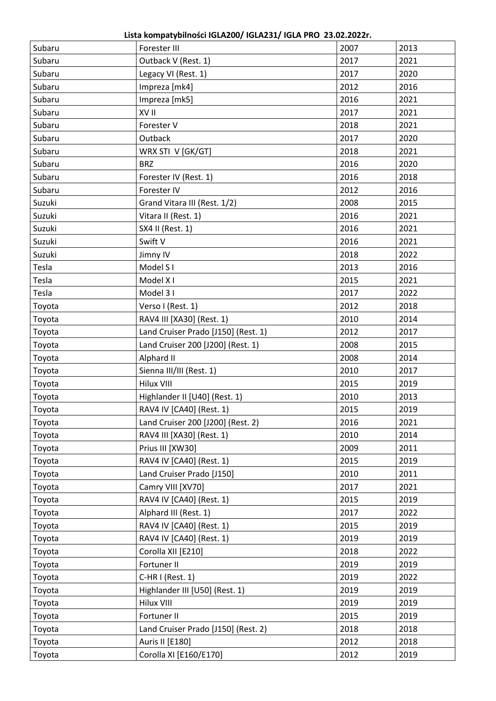**Lista kompatybilności IGLA200/ IGLA231/ IGLA PRO 23.02.2022r.**

| Subaru | Forester III                        | 2007 | 2013 |
|--------|-------------------------------------|------|------|
| Subaru | Outback V (Rest. 1)                 | 2017 | 2021 |
| Subaru | Legacy VI (Rest. 1)                 | 2017 | 2020 |
| Subaru | Impreza [mk4]                       | 2012 | 2016 |
| Subaru | Impreza [mk5]                       | 2016 | 2021 |
| Subaru | XV II                               | 2017 | 2021 |
| Subaru | Forester V                          | 2018 | 2021 |
| Subaru | Outback                             | 2017 | 2020 |
| Subaru | WRX STI V [GK/GT]                   | 2018 | 2021 |
| Subaru | <b>BRZ</b>                          | 2016 | 2020 |
| Subaru | Forester IV (Rest. 1)               | 2016 | 2018 |
| Subaru | Forester IV                         | 2012 | 2016 |
| Suzuki | Grand Vitara III (Rest. 1/2)        | 2008 | 2015 |
| Suzuki | Vitara II (Rest. 1)                 | 2016 | 2021 |
| Suzuki | SX4 II (Rest. 1)                    | 2016 | 2021 |
| Suzuki | Swift V                             | 2016 | 2021 |
| Suzuki | Jimny IV                            | 2018 | 2022 |
| Tesla  | Model S <sub>1</sub>                | 2013 | 2016 |
| Tesla  | Model X I                           | 2015 | 2021 |
| Tesla  | Model 31                            | 2017 | 2022 |
| Toyota | Verso I (Rest. 1)                   | 2012 | 2018 |
| Toyota | RAV4 III [XA30] (Rest. 1)           | 2010 | 2014 |
| Toyota | Land Cruiser Prado [J150] (Rest. 1) | 2012 | 2017 |
| Toyota | Land Cruiser 200 [J200] (Rest. 1)   | 2008 | 2015 |
| Toyota | Alphard II                          | 2008 | 2014 |
| Toyota | Sienna III/III (Rest. 1)            | 2010 | 2017 |
| Toyota | <b>Hilux VIII</b>                   | 2015 | 2019 |
| Toyota | Highlander II [U40] (Rest. 1)       | 2010 | 2013 |
| Toyota | RAV4 IV [CA40] (Rest. 1)            | 2015 | 2019 |
| Toyota | Land Cruiser 200 [J200] (Rest. 2)   | 2016 | 2021 |
| Toyota | RAV4 III [XA30] (Rest. 1)           | 2010 | 2014 |
| Toyota | Prius III [XW30]                    | 2009 | 2011 |
| Toyota | RAV4 IV [CA40] (Rest. 1)            | 2015 | 2019 |
| Toyota | Land Cruiser Prado [J150]           | 2010 | 2011 |
| Toyota | Camry VIII [XV70]                   | 2017 | 2021 |
| Toyota | RAV4 IV [CA40] (Rest. 1)            | 2015 | 2019 |
| Toyota | Alphard III (Rest. 1)               | 2017 | 2022 |
| Toyota | RAV4 IV [CA40] (Rest. 1)            | 2015 | 2019 |
| Toyota | RAV4 IV [CA40] (Rest. 1)            | 2019 | 2019 |
| Toyota | Corolla XII [E210]                  | 2018 | 2022 |
| Toyota | Fortuner II                         | 2019 | 2019 |
| Toyota | $C-HR I (Rest. 1)$                  | 2019 | 2022 |
| Toyota | Highlander III [U50] (Rest. 1)      | 2019 | 2019 |
| Toyota | <b>Hilux VIII</b>                   | 2019 | 2019 |
| Toyota | Fortuner II                         | 2015 | 2019 |
| Toyota | Land Cruiser Prado [J150] (Rest. 2) | 2018 | 2018 |
| Toyota | Auris II [E180]                     | 2012 | 2018 |
| Toyota | Corolla XI [E160/E170]              | 2012 | 2019 |
|        |                                     |      |      |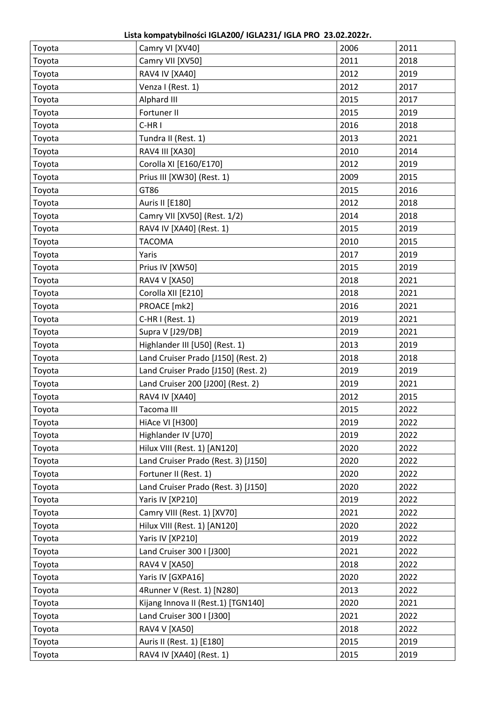**Lista kompatybilności IGLA200/ IGLA231/ IGLA PRO 23.02.2022r.**

| Toyota | Camry VI [XV40]                     | 2006 | 2011 |
|--------|-------------------------------------|------|------|
| Toyota | Camry VII [XV50]                    | 2011 | 2018 |
| Toyota | <b>RAV4 IV [XA40]</b>               | 2012 | 2019 |
| Toyota | Venza I (Rest. 1)                   | 2012 | 2017 |
| Toyota | Alphard III                         | 2015 | 2017 |
| Toyota | Fortuner II                         | 2015 | 2019 |
| Toyota | C-HRI                               | 2016 | 2018 |
| Toyota | Tundra II (Rest. 1)                 | 2013 | 2021 |
| Toyota | RAV4 III [XA30]                     | 2010 | 2014 |
| Toyota | Corolla XI [E160/E170]              | 2012 | 2019 |
| Toyota | Prius III [XW30] (Rest. 1)          | 2009 | 2015 |
| Toyota | GT86                                | 2015 | 2016 |
| Toyota | Auris II [E180]                     | 2012 | 2018 |
| Toyota | Camry VII [XV50] (Rest. 1/2)        | 2014 | 2018 |
| Toyota | RAV4 IV [XA40] (Rest. 1)            | 2015 | 2019 |
| Toyota | <b>TACOMA</b>                       | 2010 | 2015 |
| Toyota | Yaris                               | 2017 | 2019 |
| Toyota | Prius IV [XW50]                     | 2015 | 2019 |
| Toyota | RAV4 V [XA50]                       | 2018 | 2021 |
| Toyota | Corolla XII [E210]                  | 2018 | 2021 |
| Toyota | PROACE [mk2]                        | 2016 | 2021 |
| Toyota | C-HRI (Rest. 1)                     | 2019 | 2021 |
| Toyota | Supra V [J29/DB]                    | 2019 | 2021 |
| Toyota | Highlander III [U50] (Rest. 1)      | 2013 | 2019 |
| Toyota | Land Cruiser Prado [J150] (Rest. 2) | 2018 | 2018 |
| Toyota | Land Cruiser Prado [J150] (Rest. 2) | 2019 | 2019 |
| Toyota | Land Cruiser 200 [J200] (Rest. 2)   | 2019 | 2021 |
| Toyota | <b>RAV4 IV [XA40]</b>               | 2012 | 2015 |
| Toyota | Tacoma III                          | 2015 | 2022 |
| Toyota | HiAce VI [H300]                     | 2019 | 2022 |
| Toyota | Highlander IV [U70]                 | 2019 | 2022 |
| Toyota | Hilux VIII (Rest. 1) [AN120]        | 2020 | 2022 |
| Toyota | Land Cruiser Prado (Rest. 3) [J150] | 2020 | 2022 |
| Toyota | Fortuner II (Rest. 1)               | 2020 | 2022 |
| Toyota | Land Cruiser Prado (Rest. 3) [J150] | 2020 | 2022 |
| Toyota | Yaris IV [XP210]                    | 2019 | 2022 |
| Toyota | Camry VIII (Rest. 1) [XV70]         | 2021 | 2022 |
| Toyota | Hilux VIII (Rest. 1) [AN120]        | 2020 | 2022 |
| Toyota | Yaris IV [XP210]                    | 2019 | 2022 |
| Toyota | Land Cruiser 300 I [J300]           | 2021 | 2022 |
| Toyota | <b>RAV4 V [XA50]</b>                | 2018 | 2022 |
| Toyota | Yaris IV [GXPA16]                   | 2020 | 2022 |
| Toyota | 4Runner V (Rest. 1) [N280]          | 2013 | 2022 |
| Toyota | Kijang Innova II (Rest.1) [TGN140]  | 2020 | 2021 |
| Toyota | Land Cruiser 300   [J300]           | 2021 | 2022 |
| Toyota | <b>RAV4 V [XA50]</b>                | 2018 | 2022 |
| Toyota | Auris II (Rest. 1) [E180]           | 2015 | 2019 |
| Toyota | RAV4 IV [XA40] (Rest. 1)            | 2015 | 2019 |
|        |                                     |      |      |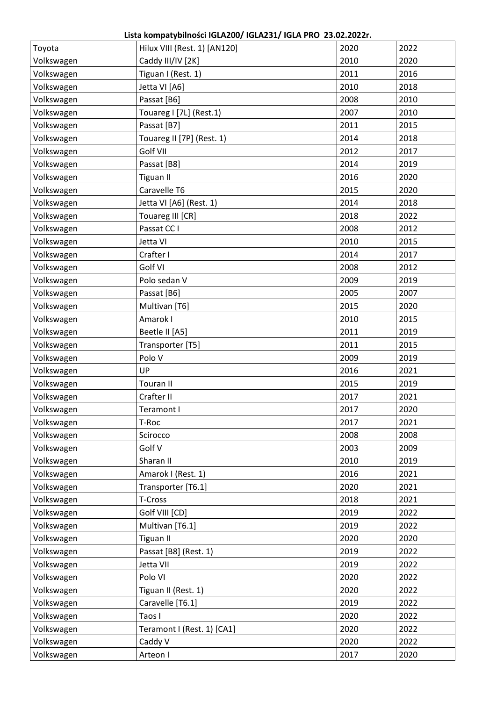| Toyota     | Hilux VIII (Rest. 1) [AN120] | 2020 | 2022 |
|------------|------------------------------|------|------|
| Volkswagen | Caddy III/IV [2K]            | 2010 | 2020 |
| Volkswagen | Tiguan I (Rest. 1)           | 2011 | 2016 |
| Volkswagen | Jetta VI [A6]                | 2010 | 2018 |
| Volkswagen | Passat [B6]                  | 2008 | 2010 |
| Volkswagen | Touareg I [7L] (Rest.1)      | 2007 | 2010 |
| Volkswagen | Passat [B7]                  | 2011 | 2015 |
| Volkswagen | Touareg II [7P] (Rest. 1)    | 2014 | 2018 |
| Volkswagen | Golf VII                     | 2012 | 2017 |
| Volkswagen | Passat [B8]                  | 2014 | 2019 |
| Volkswagen | <b>Tiguan II</b>             | 2016 | 2020 |
| Volkswagen | Caravelle T6                 | 2015 | 2020 |
| Volkswagen | Jetta VI [A6] (Rest. 1)      | 2014 | 2018 |
| Volkswagen | Touareg III [CR]             | 2018 | 2022 |
| Volkswagen | Passat CC I                  | 2008 | 2012 |
| Volkswagen | Jetta VI                     | 2010 | 2015 |
| Volkswagen | Crafter I                    | 2014 | 2017 |
| Volkswagen | Golf VI                      | 2008 | 2012 |
| Volkswagen | Polo sedan V                 | 2009 | 2019 |
| Volkswagen | Passat [B6]                  | 2005 | 2007 |
| Volkswagen | Multivan [T6]                | 2015 | 2020 |
| Volkswagen | Amarok I                     | 2010 | 2015 |
| Volkswagen | Beetle II [A5]               | 2011 | 2019 |
| Volkswagen | Transporter [T5]             | 2011 | 2015 |
| Volkswagen | Polo V                       | 2009 | 2019 |
| Volkswagen | UP                           | 2016 | 2021 |
| Volkswagen | <b>Touran II</b>             | 2015 | 2019 |
| Volkswagen | Crafter II                   | 2017 | 2021 |
| Volkswagen | Teramont I                   | 2017 | 2020 |
| Volkswagen | T-Roc                        | 2017 | 2021 |
| Volkswagen | Scirocco                     | 2008 | 2008 |
| Volkswagen | Golf V                       | 2003 | 2009 |
| Volkswagen | Sharan II                    | 2010 | 2019 |
| Volkswagen | Amarok I (Rest. 1)           | 2016 | 2021 |
| Volkswagen | Transporter [T6.1]           | 2020 | 2021 |
| Volkswagen | T-Cross                      | 2018 | 2021 |
| Volkswagen | Golf VIII [CD]               | 2019 | 2022 |
| Volkswagen | Multivan [T6.1]              | 2019 | 2022 |
| Volkswagen | <b>Tiguan II</b>             | 2020 | 2020 |
| Volkswagen | Passat [B8] (Rest. 1)        | 2019 | 2022 |
| Volkswagen | Jetta VII                    | 2019 | 2022 |
| Volkswagen | Polo VI                      | 2020 | 2022 |
| Volkswagen | Tiguan II (Rest. 1)          | 2020 | 2022 |
| Volkswagen | Caravelle [T6.1]             | 2019 | 2022 |
| Volkswagen | Taos I                       | 2020 | 2022 |
| Volkswagen | Teramont I (Rest. 1) [CA1]   | 2020 | 2022 |
| Volkswagen | Caddy V                      | 2020 | 2022 |
| Volkswagen | Arteon I                     | 2017 | 2020 |
|            |                              |      |      |